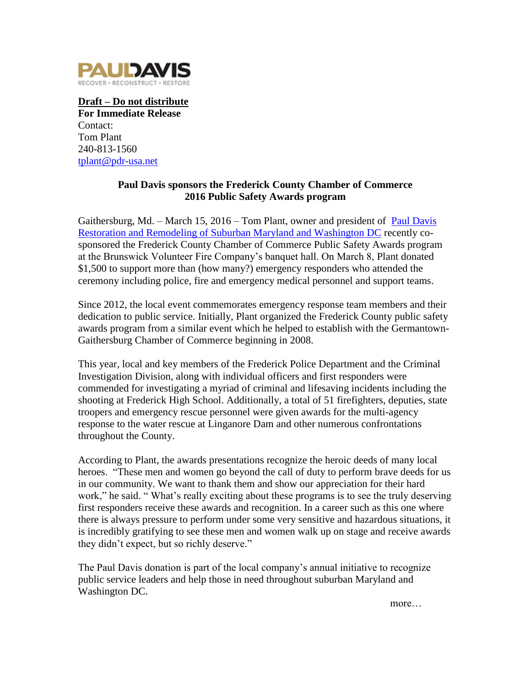

**Draft – Do not distribute For Immediate Release** Contact: Tom Plant 240-813-1560 [tplant@pdr-usa.net](mailto:tplant@pdr-usa.net)

## **Paul Davis sponsors the Frederick County Chamber of Commerce 2016 Public Safety Awards program**

Gaithersburg, Md. – March 15, 2016 – Tom Plant, owner and president of [Paul Davis](http://www.pdmontgomery.com/)  [Restoration and Remodeling of Suburban Maryland and Washington DC](http://www.pdmontgomery.com/) recently cosponsored the Frederick County Chamber of Commerce Public Safety Awards program at the Brunswick Volunteer Fire Company's banquet hall. On March 8, Plant donated \$1,500 to support more than (how many?) emergency responders who attended the ceremony including police, fire and emergency medical personnel and support teams.

Since 2012, the local event commemorates emergency response team members and their dedication to public service. Initially, Plant organized the Frederick County public safety awards program from a similar event which he helped to establish with the Germantown-Gaithersburg Chamber of Commerce beginning in 2008.

This year, local and key members of the Frederick Police Department and the Criminal Investigation Division, along with individual officers and first responders were commended for investigating a myriad of criminal and lifesaving incidents including the shooting at Frederick High School. Additionally, a total of 51 firefighters, deputies, state troopers and emergency rescue personnel were given awards for the multi-agency response to the water rescue at Linganore Dam and other numerous confrontations throughout the County.

According to Plant, the awards presentations recognize the heroic deeds of many local heroes. "These men and women go beyond the call of duty to perform brave deeds for us in our community. We want to thank them and show our appreciation for their hard work," he said. "What's really exciting about these programs is to see the truly deserving first responders receive these awards and recognition. In a career such as this one where there is always pressure to perform under some very sensitive and hazardous situations, it is incredibly gratifying to see these men and women walk up on stage and receive awards they didn't expect, but so richly deserve."

The Paul Davis donation is part of the local company's annual initiative to recognize public service leaders and help those in need throughout suburban Maryland and Washington DC.

more…